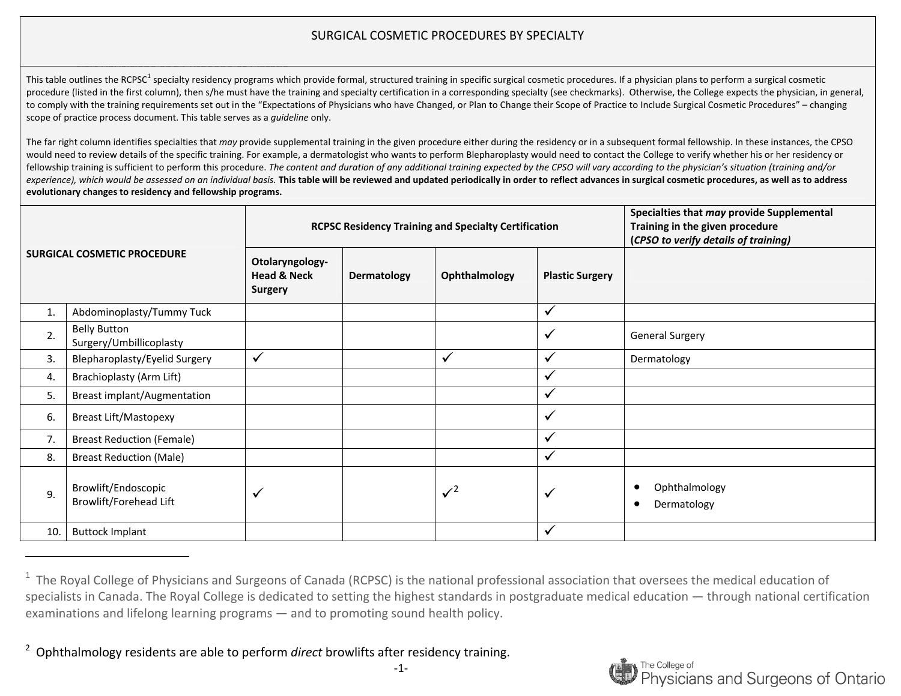This table outlines the RCPSC<sup>1</sup> specialty residency programs which provide formal, structured training in specific surgical cosmetic procedures. If a physician plans to perform a surgical cosmetic procedure (listed in the first column), then s/he must have the training and specialty certification in a corresponding specialty (see checkmarks). Otherwise, the College expects the physician, in general, to comply with the training requirements set out in the "Expectations of Physicians who have Changed, or Plan to Change their Scope of Practice to Include Surgical Cosmetic Procedures" – changing scope of practice process document. This table serves as <sup>a</sup> *guideline* only.

| <b>SURGICAL COSMETIC PROCEDURE</b> |                                                |                                                             |             | <b>RCPSC Residency Training and Specialty Certification</b> | Specialties that may provide Supplemental<br>Training in the given procedure<br>(CPSO to verify details of training) |                                           |
|------------------------------------|------------------------------------------------|-------------------------------------------------------------|-------------|-------------------------------------------------------------|----------------------------------------------------------------------------------------------------------------------|-------------------------------------------|
|                                    |                                                | Otolaryngology-<br><b>Head &amp; Neck</b><br><b>Surgery</b> | Dermatology | Ophthalmology                                               | <b>Plastic Surgery</b>                                                                                               |                                           |
| 1.                                 | Abdominoplasty/Tummy Tuck                      |                                                             |             |                                                             | $\checkmark$                                                                                                         |                                           |
| 2.                                 | <b>Belly Button</b><br>Surgery/Umbillicoplasty |                                                             |             |                                                             | $\checkmark$                                                                                                         | <b>General Surgery</b>                    |
| $\overline{3}$ .                   | Blepharoplasty/Eyelid Surgery                  | $\checkmark$                                                |             | $\checkmark$                                                | $\checkmark$                                                                                                         | Dermatology                               |
| 4.                                 | Brachioplasty (Arm Lift)                       |                                                             |             |                                                             | $\checkmark$                                                                                                         |                                           |
| 5.                                 | <b>Breast implant/Augmentation</b>             |                                                             |             |                                                             | $\checkmark$                                                                                                         |                                           |
| 6.                                 | <b>Breast Lift/Mastopexy</b>                   |                                                             |             |                                                             | $\checkmark$                                                                                                         |                                           |
| 7.                                 | <b>Breast Reduction (Female)</b>               |                                                             |             |                                                             | $\checkmark$                                                                                                         |                                           |
| 8.                                 | <b>Breast Reduction (Male)</b>                 |                                                             |             |                                                             | $\checkmark$                                                                                                         |                                           |
| 9.                                 | Browlift/Endoscopic<br>Browlift/Forehead Lift  | $\checkmark$                                                |             | $\sqrt{2}$                                                  | $\checkmark$                                                                                                         | Ophthalmology<br>Dermatology<br>$\bullet$ |
| 10.                                | <b>Buttock Implant</b>                         |                                                             |             |                                                             | $\checkmark$                                                                                                         |                                           |

 $1$  The Royal College of Physicians and Surgeons of Canada (RCPSC) is the national professional association that oversees the medical education of specialists in Canada. The Royal College is dedicated to setting the highest standards in postgraduate medical education — through national certification examinations and lifelong learning programs — and to promoting sound health policy.



<sup>2</sup>Ophthalmology residents are able to perform *direct* browlifts after residency training.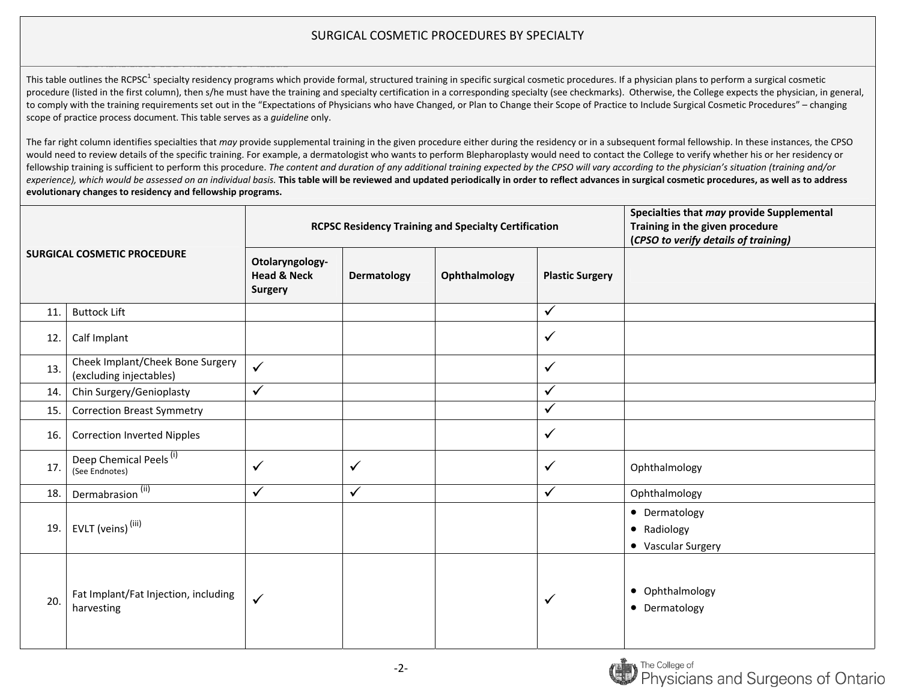This table outlines the RCPSC<sup>1</sup> specialty residency programs which provide formal, structured training in specific surgical cosmetic procedures. If a physician plans to perform a surgical cosmetic procedure (listed in the first column), then s/he must have the training and specialty certification in a corresponding specialty (see checkmarks). Otherwise, the College expects the physician, in general, to comply with the training requirements set out in the "Expectations of Physicians who have Changed, or Plan to Change their Scope of Practice to Include Surgical Cosmetic Procedures" – changing scope of practice process document. This table serves as <sup>a</sup> *guideline* only.

| <b>SURGICAL COSMETIC PROCEDURE</b> |                                                             |                                                             |              | <b>RCPSC Residency Training and Specialty Certification</b> | Specialties that may provide Supplemental<br>Training in the given procedure<br>(CPSO to verify details of training) |                                                    |
|------------------------------------|-------------------------------------------------------------|-------------------------------------------------------------|--------------|-------------------------------------------------------------|----------------------------------------------------------------------------------------------------------------------|----------------------------------------------------|
|                                    |                                                             | Otolaryngology-<br><b>Head &amp; Neck</b><br><b>Surgery</b> | Dermatology  | Ophthalmology                                               | <b>Plastic Surgery</b>                                                                                               |                                                    |
| 11.                                | <b>Buttock Lift</b>                                         |                                                             |              |                                                             | $\checkmark$                                                                                                         |                                                    |
| 12.                                | Calf Implant                                                |                                                             |              |                                                             | $\checkmark$                                                                                                         |                                                    |
| 13.                                | Cheek Implant/Cheek Bone Surgery<br>(excluding injectables) | $\checkmark$                                                |              |                                                             | $\checkmark$                                                                                                         |                                                    |
| 14.                                | Chin Surgery/Genioplasty                                    | $\checkmark$                                                |              |                                                             | $\checkmark$                                                                                                         |                                                    |
| 15.                                | <b>Correction Breast Symmetry</b>                           |                                                             |              |                                                             | $\checkmark$                                                                                                         |                                                    |
| 16.                                | <b>Correction Inverted Nipples</b>                          |                                                             |              |                                                             | ✓                                                                                                                    |                                                    |
| 17.                                | Deep Chemical Peels <sup>(i)</sup><br>(See Endnotes)        | $\checkmark$                                                | $\checkmark$ |                                                             | $\checkmark$                                                                                                         | Ophthalmology                                      |
| 18.                                | Dermabrasion <sup>(ii)</sup>                                | $\checkmark$                                                | ✓            |                                                             | $\checkmark$                                                                                                         | Ophthalmology                                      |
| 19.                                | EVLT (veins) <sup>(iii)</sup>                               |                                                             |              |                                                             |                                                                                                                      | • Dermatology<br>• Radiology<br>• Vascular Surgery |
| 20.                                | Fat Implant/Fat Injection, including<br>harvesting          | $\checkmark$                                                |              |                                                             | ✓                                                                                                                    | • Ophthalmology<br>• Dermatology                   |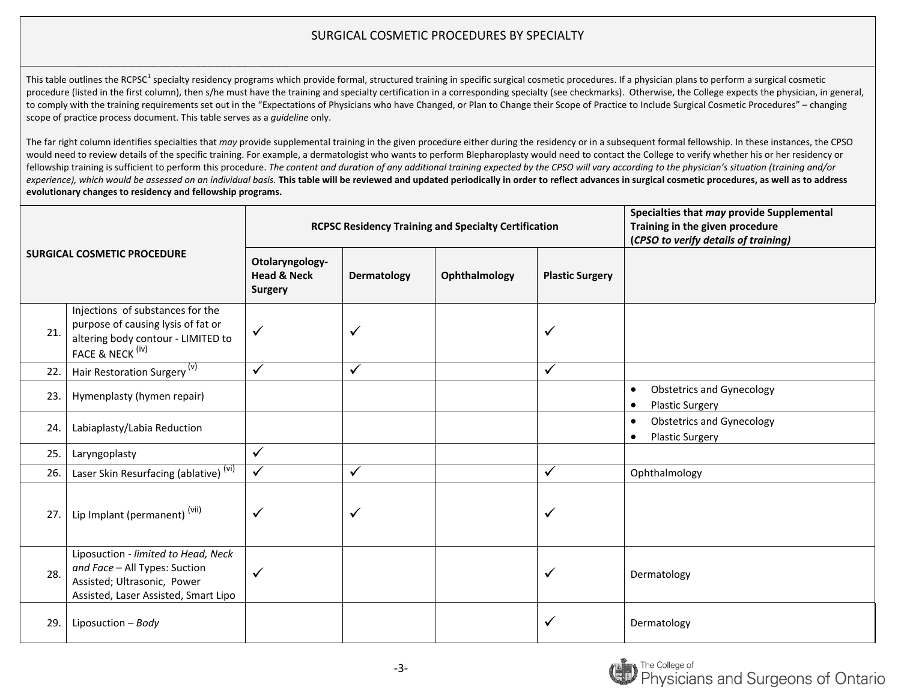This table outlines the RCPSC<sup>1</sup> specialty residency programs which provide formal, structured training in specific surgical cosmetic procedures. If a physician plans to perform a surgical cosmetic procedure (listed in the first column), then s/he must have the training and specialty certification in a corresponding specialty (see checkmarks). Otherwise, the College expects the physician, in general, to comply with the training requirements set out in the "Expectations of Physicians who have Changed, or Plan to Change their Scope of Practice to Include Surgical Cosmetic Procedures" – changing scope of practice process document. This table serves as <sup>a</sup> *guideline* only.

| <b>SURGICAL COSMETIC PROCEDURE</b> |                                                                                                                                             |                                                             |             | <b>RCPSC Residency Training and Specialty Certification</b> | Specialties that may provide Supplemental<br>Training in the given procedure<br>(CPSO to verify details of training) |                                                                                      |
|------------------------------------|---------------------------------------------------------------------------------------------------------------------------------------------|-------------------------------------------------------------|-------------|-------------------------------------------------------------|----------------------------------------------------------------------------------------------------------------------|--------------------------------------------------------------------------------------|
|                                    |                                                                                                                                             | Otolaryngology-<br><b>Head &amp; Neck</b><br><b>Surgery</b> | Dermatology | Ophthalmology                                               | <b>Plastic Surgery</b>                                                                                               |                                                                                      |
| 21.                                | Injections of substances for the<br>purpose of causing lysis of fat or<br>altering body contour - LIMITED to<br>FACE & NECK <sup>(iv)</sup> | ✓                                                           |             |                                                             | $\checkmark$                                                                                                         |                                                                                      |
| 22.                                | Hair Restoration Surgery <sup>(v)</sup>                                                                                                     | $\checkmark$                                                | ✓           |                                                             | $\checkmark$                                                                                                         |                                                                                      |
| 23.                                | Hymenplasty (hymen repair)                                                                                                                  |                                                             |             |                                                             |                                                                                                                      | <b>Obstetrics and Gynecology</b><br>$\bullet$<br><b>Plastic Surgery</b><br>$\bullet$ |
| 24.                                | Labiaplasty/Labia Reduction                                                                                                                 |                                                             |             |                                                             |                                                                                                                      | <b>Obstetrics and Gynecology</b><br>$\bullet$<br><b>Plastic Surgery</b><br>$\bullet$ |
| 25.                                | Laryngoplasty                                                                                                                               | $\checkmark$                                                |             |                                                             |                                                                                                                      |                                                                                      |
| 26.                                | Laser Skin Resurfacing (ablative) <sup>(vi)</sup>                                                                                           | $\checkmark$                                                | ✓           |                                                             | $\checkmark$                                                                                                         | Ophthalmology                                                                        |
| 27.                                | Lip Implant (permanent) <sup>(vii)</sup>                                                                                                    |                                                             |             |                                                             | $\checkmark$                                                                                                         |                                                                                      |
| 28.                                | Liposuction - limited to Head, Neck<br>and Face - All Types: Suction<br>Assisted; Ultrasonic, Power<br>Assisted, Laser Assisted, Smart Lipo | ✓                                                           |             |                                                             | ✓                                                                                                                    | Dermatology                                                                          |
| 29.                                | Liposuction - Body                                                                                                                          |                                                             |             |                                                             | ✓                                                                                                                    | Dermatology                                                                          |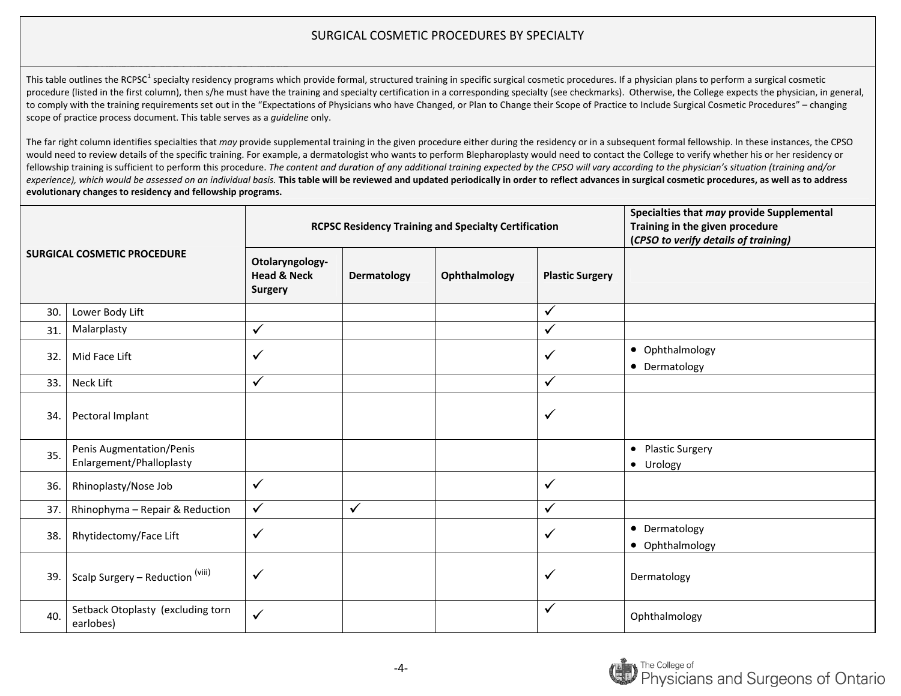This table outlines the RCPSC<sup>1</sup> specialty residency programs which provide formal, structured training in specific surgical cosmetic procedures. If a physician plans to perform a surgical cosmetic procedure (listed in the first column), then s/he must have the training and specialty certification in a corresponding specialty (see checkmarks). Otherwise, the College expects the physician, in general, to comply with the training requirements set out in the "Expectations of Physicians who have Changed, or Plan to Change their Scope of Practice to Include Surgical Cosmetic Procedures" – changing scope of practice process document. This table serves as <sup>a</sup> *guideline* only.

| <b>SURGICAL COSMETIC PROCEDURE</b> |                                                      |                                                             | <b>RCPSC Residency Training and Specialty Certification</b> | Specialties that may provide Supplemental<br>Training in the given procedure<br>(CPSO to verify details of training) |                        |                                  |
|------------------------------------|------------------------------------------------------|-------------------------------------------------------------|-------------------------------------------------------------|----------------------------------------------------------------------------------------------------------------------|------------------------|----------------------------------|
|                                    |                                                      | Otolaryngology-<br><b>Head &amp; Neck</b><br><b>Surgery</b> | Dermatology                                                 | Ophthalmology                                                                                                        | <b>Plastic Surgery</b> |                                  |
| 30.                                | Lower Body Lift                                      |                                                             |                                                             |                                                                                                                      | $\checkmark$           |                                  |
| 31.                                | Malarplasty                                          | $\checkmark$                                                |                                                             |                                                                                                                      | $\checkmark$           |                                  |
| 32.                                | Mid Face Lift                                        | $\checkmark$                                                |                                                             |                                                                                                                      | $\checkmark$           | • Ophthalmology<br>• Dermatology |
| 33.                                | Neck Lift                                            | $\checkmark$                                                |                                                             |                                                                                                                      | $\checkmark$           |                                  |
| 34.                                | Pectoral Implant                                     |                                                             |                                                             |                                                                                                                      | $\checkmark$           |                                  |
| 35.                                | Penis Augmentation/Penis<br>Enlargement/Phalloplasty |                                                             |                                                             |                                                                                                                      |                        | • Plastic Surgery<br>• Urology   |
| 36.                                | Rhinoplasty/Nose Job                                 | $\checkmark$                                                |                                                             |                                                                                                                      | $\checkmark$           |                                  |
| 37.                                | Rhinophyma - Repair & Reduction                      | $\checkmark$                                                | $\checkmark$                                                |                                                                                                                      | $\checkmark$           |                                  |
| 38.                                | Rhytidectomy/Face Lift                               | $\checkmark$                                                |                                                             |                                                                                                                      | $\checkmark$           | • Dermatology<br>• Ophthalmology |
| 39.                                | Scalp Surgery - Reduction (viii)                     | $\checkmark$                                                |                                                             |                                                                                                                      | ✓                      | Dermatology                      |
| 40.                                | Setback Otoplasty (excluding torn<br>earlobes)       | $\checkmark$                                                |                                                             |                                                                                                                      | $\checkmark$           | Ophthalmology                    |